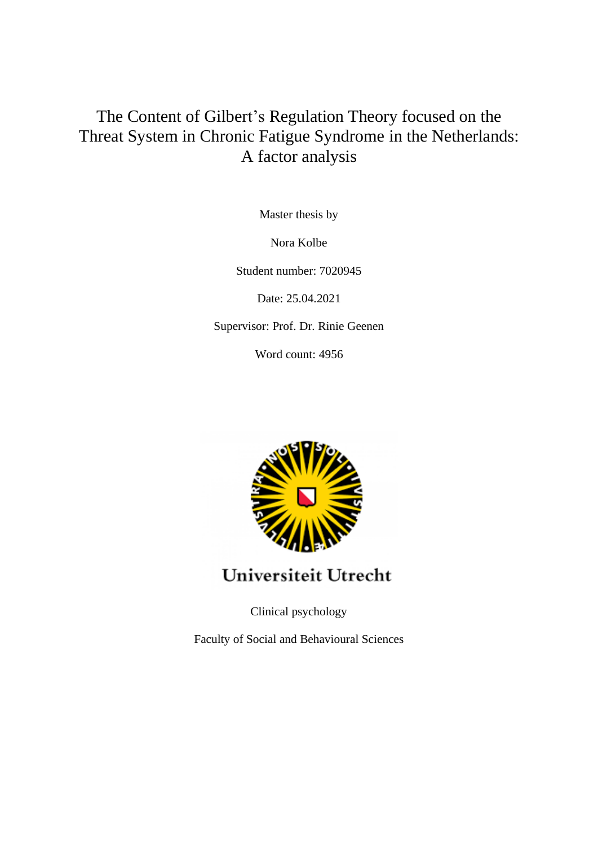# The Content of Gilbert's Regulation Theory focused on the Threat System in Chronic Fatigue Syndrome in the Netherlands: A factor analysis

Master thesis by

Nora Kolbe

Student number: 7020945

Date: 25.04.2021

Supervisor: Prof. Dr. Rinie Geenen

Word count: 4956



Universiteit Utrecht

Clinical psychology

Faculty of Social and Behavioural Sciences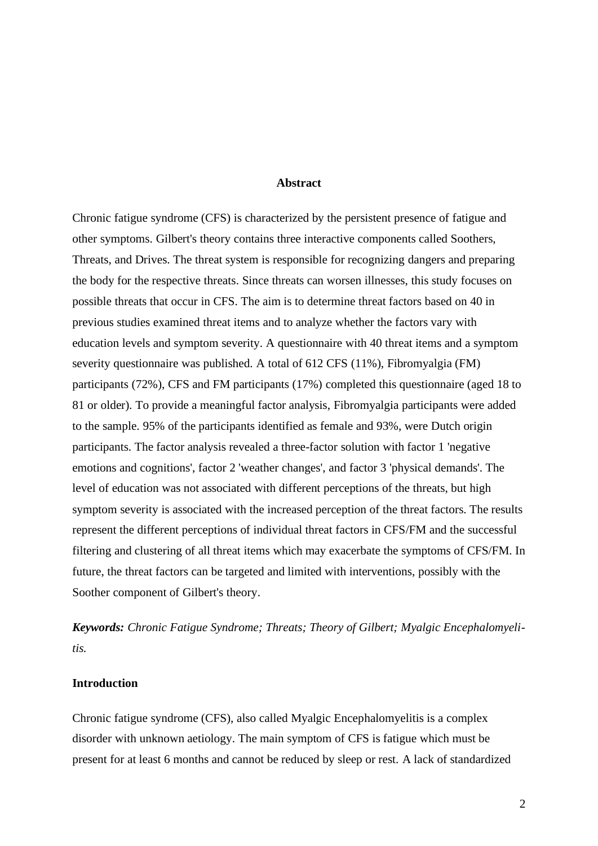### **Abstract**

Chronic fatigue syndrome (CFS) is characterized by the persistent presence of fatigue and other symptoms. Gilbert's theory contains three interactive components called Soothers, Threats, and Drives. The threat system is responsible for recognizing dangers and preparing the body for the respective threats. Since threats can worsen illnesses, this study focuses on possible threats that occur in CFS. The aim is to determine threat factors based on 40 in previous studies examined threat items and to analyze whether the factors vary with education levels and symptom severity. A questionnaire with 40 threat items and a symptom severity questionnaire was published. A total of 612 CFS (11%), Fibromyalgia (FM) participants (72%), CFS and FM participants (17%) completed this questionnaire (aged 18 to 81 or older). To provide a meaningful factor analysis, Fibromyalgia participants were added to the sample. 95% of the participants identified as female and 93%, were Dutch origin participants. The factor analysis revealed a three-factor solution with factor 1 'negative emotions and cognitions', factor 2 'weather changes', and factor 3 'physical demands'. The level of education was not associated with different perceptions of the threats, but high symptom severity is associated with the increased perception of the threat factors. The results represent the different perceptions of individual threat factors in CFS/FM and the successful filtering and clustering of all threat items which may exacerbate the symptoms of CFS/FM. In future, the threat factors can be targeted and limited with interventions, possibly with the Soother component of Gilbert's theory.

*Keywords: Chronic Fatigue Syndrome; Threats; Theory of Gilbert; Myalgic Encephalomyelitis.* 

#### **Introduction**

Chronic fatigue syndrome (CFS), also called Myalgic Encephalomyelitis is a complex disorder with unknown aetiology. The main symptom of CFS is fatigue which must be present for at least 6 months and cannot be reduced by sleep or rest. A lack of standardized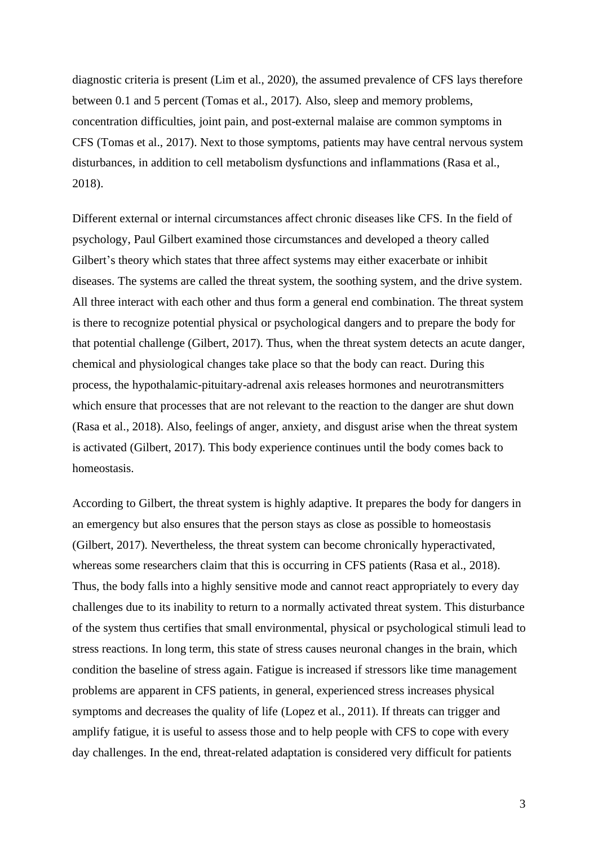diagnostic criteria is present (Lim et al., 2020), the assumed prevalence of CFS lays therefore between 0.1 and 5 percent (Tomas et al., 2017). Also, sleep and memory problems, concentration difficulties, joint pain, and post-external malaise are common symptoms in CFS (Tomas et al., 2017). Next to those symptoms, patients may have central nervous system disturbances, in addition to cell metabolism dysfunctions and inflammations (Rasa et al., 2018).

Different external or internal circumstances affect chronic diseases like CFS. In the field of psychology, Paul Gilbert examined those circumstances and developed a theory called Gilbert's theory which states that three affect systems may either exacerbate or inhibit diseases. The systems are called the threat system, the soothing system, and the drive system. All three interact with each other and thus form a general end combination. The threat system is there to recognize potential physical or psychological dangers and to prepare the body for that potential challenge (Gilbert, 2017). Thus, when the threat system detects an acute danger, chemical and physiological changes take place so that the body can react. During this process, the hypothalamic-pituitary-adrenal axis releases hormones and neurotransmitters which ensure that processes that are not relevant to the reaction to the danger are shut down (Rasa et al., 2018). Also, feelings of anger, anxiety, and disgust arise when the threat system is activated (Gilbert, 2017). This body experience continues until the body comes back to homeostasis.

According to Gilbert, the threat system is highly adaptive. It prepares the body for dangers in an emergency but also ensures that the person stays as close as possible to homeostasis (Gilbert, 2017). Nevertheless, the threat system can become chronically hyperactivated, whereas some researchers claim that this is occurring in CFS patients (Rasa et al., 2018). Thus, the body falls into a highly sensitive mode and cannot react appropriately to every day challenges due to its inability to return to a normally activated threat system. This disturbance of the system thus certifies that small environmental, physical or psychological stimuli lead to stress reactions. In long term, this state of stress causes neuronal changes in the brain, which condition the baseline of stress again. Fatigue is increased if stressors like time management problems are apparent in CFS patients, in general, experienced stress increases physical symptoms and decreases the quality of life (Lopez et al., 2011). If threats can trigger and amplify fatigue, it is useful to assess those and to help people with CFS to cope with every day challenges. In the end, threat-related adaptation is considered very difficult for patients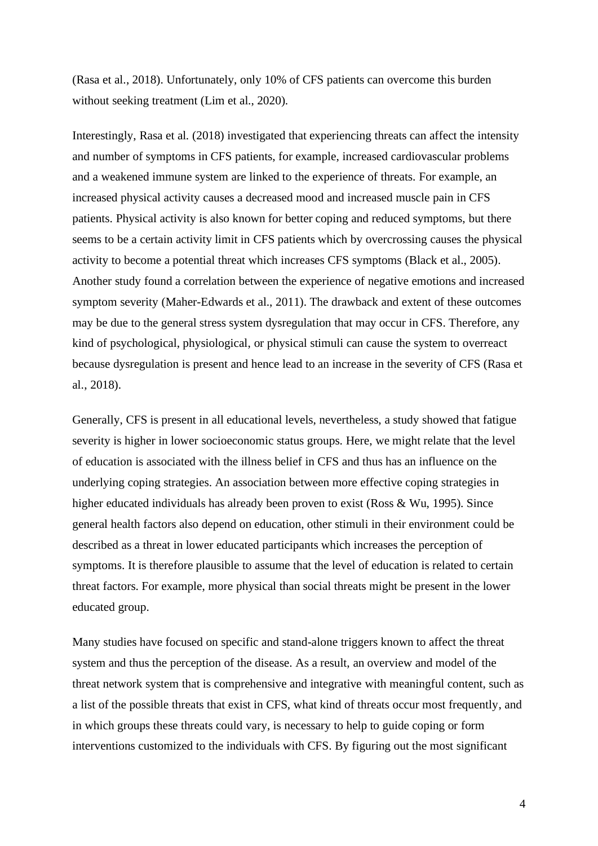(Rasa et al., 2018). Unfortunately, only 10% of CFS patients can overcome this burden without seeking treatment (Lim et al., 2020).

Interestingly, Rasa et al. (2018) investigated that experiencing threats can affect the intensity and number of symptoms in CFS patients, for example, increased cardiovascular problems and a weakened immune system are linked to the experience of threats. For example, an increased physical activity causes a decreased mood and increased muscle pain in CFS patients. Physical activity is also known for better coping and reduced symptoms, but there seems to be a certain activity limit in CFS patients which by overcrossing causes the physical activity to become a potential threat which increases CFS symptoms (Black et al., 2005). Another study found a correlation between the experience of negative emotions and increased symptom severity (Maher-Edwards et al., 2011). The drawback and extent of these outcomes may be due to the general stress system dysregulation that may occur in CFS. Therefore, any kind of psychological, physiological, or physical stimuli can cause the system to overreact because dysregulation is present and hence lead to an increase in the severity of CFS (Rasa et al., 2018).

Generally, CFS is present in all educational levels, nevertheless, a study showed that fatigue severity is higher in lower socioeconomic status groups. Here, we might relate that the level of education is associated with the illness belief in CFS and thus has an influence on the underlying coping strategies. An association between more effective coping strategies in higher educated individuals has already been proven to exist (Ross & Wu, 1995). Since general health factors also depend on education, other stimuli in their environment could be described as a threat in lower educated participants which increases the perception of symptoms. It is therefore plausible to assume that the level of education is related to certain threat factors. For example, more physical than social threats might be present in the lower educated group.

Many studies have focused on specific and stand-alone triggers known to affect the threat system and thus the perception of the disease. As a result, an overview and model of the threat network system that is comprehensive and integrative with meaningful content, such as a list of the possible threats that exist in CFS, what kind of threats occur most frequently, and in which groups these threats could vary, is necessary to help to guide coping or form interventions customized to the individuals with CFS. By figuring out the most significant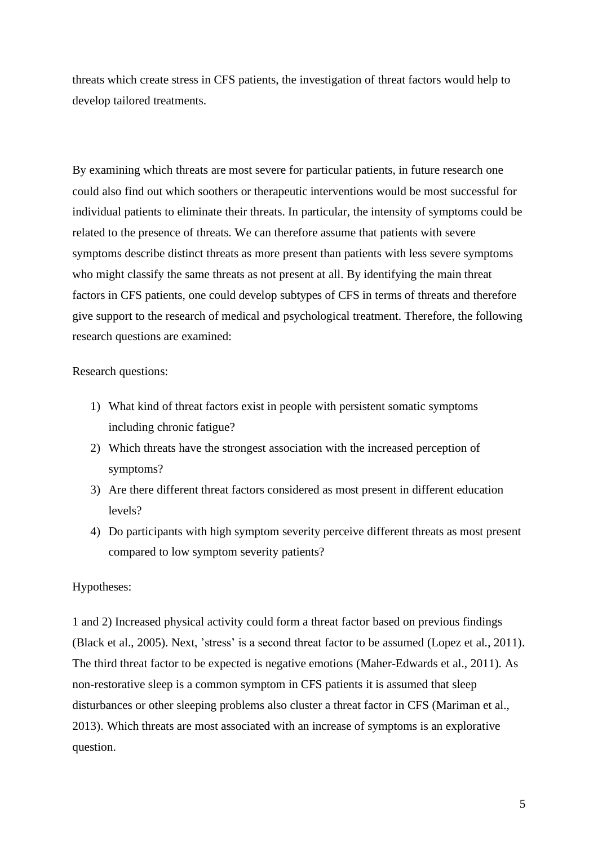threats which create stress in CFS patients, the investigation of threat factors would help to develop tailored treatments.

By examining which threats are most severe for particular patients, in future research one could also find out which soothers or therapeutic interventions would be most successful for individual patients to eliminate their threats. In particular, the intensity of symptoms could be related to the presence of threats. We can therefore assume that patients with severe symptoms describe distinct threats as more present than patients with less severe symptoms who might classify the same threats as not present at all. By identifying the main threat factors in CFS patients, one could develop subtypes of CFS in terms of threats and therefore give support to the research of medical and psychological treatment. Therefore, the following research questions are examined:

Research questions:

- 1) What kind of threat factors exist in people with persistent somatic symptoms including chronic fatigue?
- 2) Which threats have the strongest association with the increased perception of symptoms?
- 3) Are there different threat factors considered as most present in different education levels?
- 4) Do participants with high symptom severity perceive different threats as most present compared to low symptom severity patients?

## Hypotheses:

1 and 2) Increased physical activity could form a threat factor based on previous findings (Black et al., 2005). Next, 'stress' is a second threat factor to be assumed (Lopez et al., 2011). The third threat factor to be expected is negative emotions (Maher-Edwards et al., 2011). As non-restorative sleep is a common symptom in CFS patients it is assumed that sleep disturbances or other sleeping problems also cluster a threat factor in CFS (Mariman et al., 2013). Which threats are most associated with an increase of symptoms is an explorative question.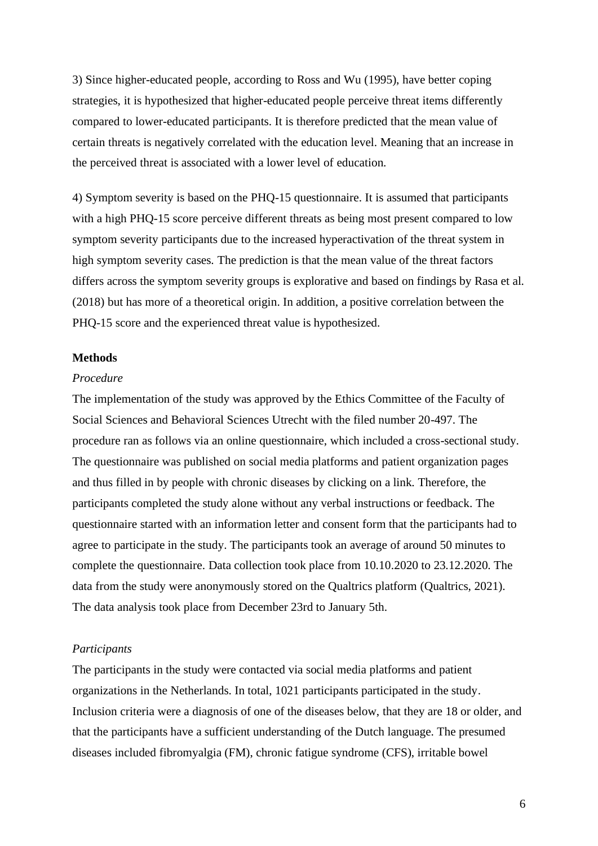3) Since higher-educated people, according to Ross and Wu (1995), have better coping strategies, it is hypothesized that higher-educated people perceive threat items differently compared to lower-educated participants. It is therefore predicted that the mean value of certain threats is negatively correlated with the education level. Meaning that an increase in the perceived threat is associated with a lower level of education.

4) Symptom severity is based on the PHQ-15 questionnaire. It is assumed that participants with a high PHQ-15 score perceive different threats as being most present compared to low symptom severity participants due to the increased hyperactivation of the threat system in high symptom severity cases. The prediction is that the mean value of the threat factors differs across the symptom severity groups is explorative and based on findings by Rasa et al. (2018) but has more of a theoretical origin. In addition, a positive correlation between the PHQ-15 score and the experienced threat value is hypothesized.

### **Methods**

#### *Procedure*

The implementation of the study was approved by the Ethics Committee of the Faculty of Social Sciences and Behavioral Sciences Utrecht with the filed number 20-497. The procedure ran as follows via an online questionnaire, which included a cross-sectional study. The questionnaire was published on social media platforms and patient organization pages and thus filled in by people with chronic diseases by clicking on a link. Therefore, the participants completed the study alone without any verbal instructions or feedback. The questionnaire started with an information letter and consent form that the participants had to agree to participate in the study. The participants took an average of around 50 minutes to complete the questionnaire. Data collection took place from 10.10.2020 to 23.12.2020. The data from the study were anonymously stored on the Qualtrics platform (Qualtrics, 2021). The data analysis took place from December 23rd to January 5th.

### *Participants*

The participants in the study were contacted via social media platforms and patient organizations in the Netherlands. In total, 1021 participants participated in the study. Inclusion criteria were a diagnosis of one of the diseases below, that they are 18 or older, and that the participants have a sufficient understanding of the Dutch language. The presumed diseases included fibromyalgia (FM), chronic fatigue syndrome (CFS), irritable bowel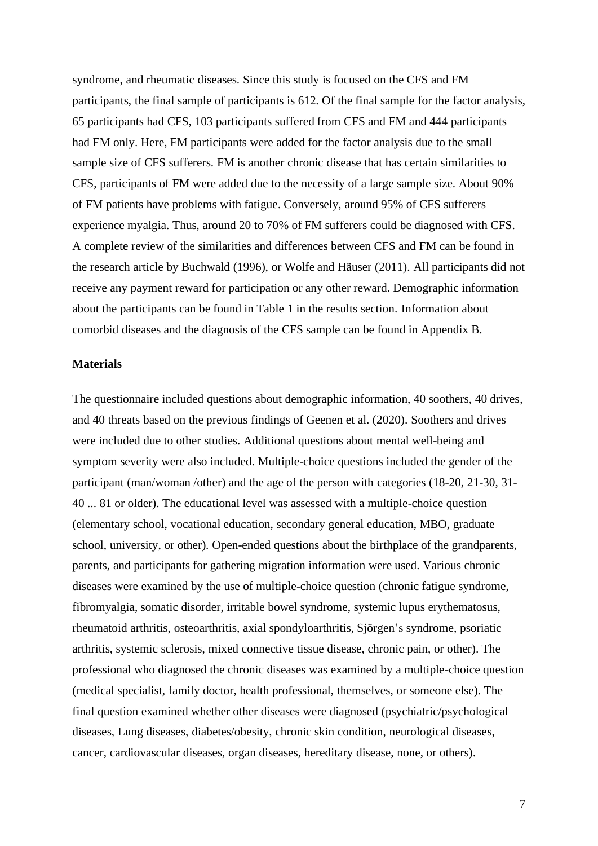syndrome, and rheumatic diseases. Since this study is focused on the CFS and FM participants, the final sample of participants is 612. Of the final sample for the factor analysis, 65 participants had CFS, 103 participants suffered from CFS and FM and 444 participants had FM only. Here, FM participants were added for the factor analysis due to the small sample size of CFS sufferers. FM is another chronic disease that has certain similarities to CFS, participants of FM were added due to the necessity of a large sample size. About 90% of FM patients have problems with fatigue. Conversely, around 95% of CFS sufferers experience myalgia. Thus, around 20 to 70% of FM sufferers could be diagnosed with CFS. A complete review of the similarities and differences between CFS and FM can be found in the research article by Buchwald (1996), or Wolfe and Häuser (2011). All participants did not receive any payment reward for participation or any other reward. Demographic information about the participants can be found in Table 1 in the results section. Information about comorbid diseases and the diagnosis of the CFS sample can be found in Appendix B.

### **Materials**

The questionnaire included questions about demographic information, 40 soothers, 40 drives, and 40 threats based on the previous findings of Geenen et al. (2020). Soothers and drives were included due to other studies. Additional questions about mental well-being and symptom severity were also included. Multiple-choice questions included the gender of the participant (man/woman /other) and the age of the person with categories (18-20, 21-30, 31- 40 ... 81 or older). The educational level was assessed with a multiple-choice question (elementary school, vocational education, secondary general education, MBO, graduate school, university, or other). Open-ended questions about the birthplace of the grandparents, parents, and participants for gathering migration information were used. Various chronic diseases were examined by the use of multiple-choice question (chronic fatigue syndrome, fibromyalgia, somatic disorder, irritable bowel syndrome, systemic lupus erythematosus, rheumatoid arthritis, osteoarthritis, axial spondyloarthritis, Sjörgen's syndrome, psoriatic arthritis, systemic sclerosis, mixed connective tissue disease, chronic pain, or other). The professional who diagnosed the chronic diseases was examined by a multiple-choice question (medical specialist, family doctor, health professional, themselves, or someone else). The final question examined whether other diseases were diagnosed (psychiatric/psychological diseases, Lung diseases, diabetes/obesity, chronic skin condition, neurological diseases, cancer, cardiovascular diseases, organ diseases, hereditary disease, none, or others).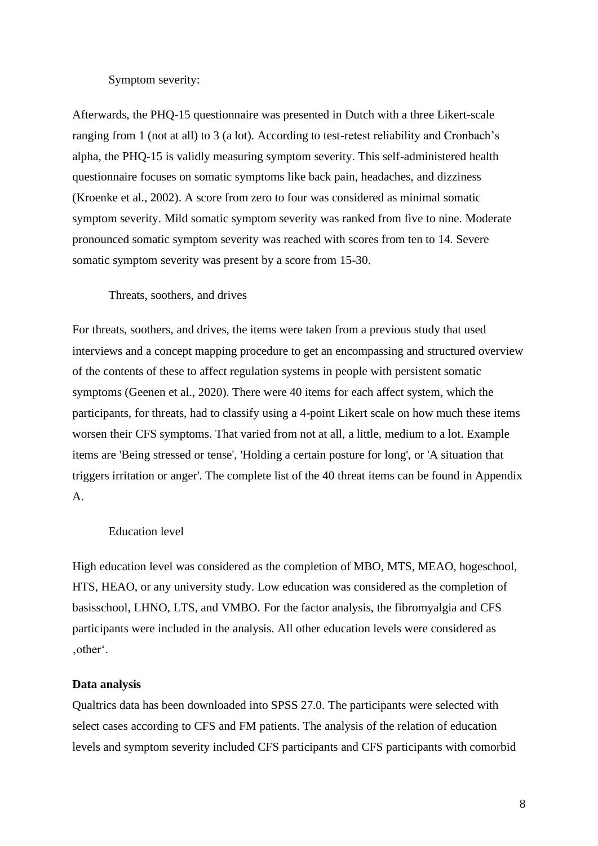## Symptom severity:

Afterwards, the PHQ-15 questionnaire was presented in Dutch with a three Likert-scale ranging from 1 (not at all) to 3 (a lot). According to test-retest reliability and Cronbach's alpha, the PHQ-15 is validly measuring symptom severity. This self-administered health questionnaire focuses on somatic symptoms like back pain, headaches, and dizziness (Kroenke et al., 2002). A score from zero to four was considered as minimal somatic symptom severity. Mild somatic symptom severity was ranked from five to nine. Moderate pronounced somatic symptom severity was reached with scores from ten to 14. Severe somatic symptom severity was present by a score from 15-30.

### Threats, soothers, and drives

For threats, soothers, and drives, the items were taken from a previous study that used interviews and a concept mapping procedure to get an encompassing and structured overview of the contents of these to affect regulation systems in people with persistent somatic symptoms (Geenen et al., 2020). There were 40 items for each affect system, which the participants, for threats, had to classify using a 4-point Likert scale on how much these items worsen their CFS symptoms. That varied from not at all, a little, medium to a lot. Example items are 'Being stressed or tense', 'Holding a certain posture for long', or 'A situation that triggers irritation or anger'. The complete list of the 40 threat items can be found in Appendix A.

#### Education level

High education level was considered as the completion of MBO, MTS, MEAO, hogeschool, HTS, HEAO, or any university study. Low education was considered as the completion of basisschool, LHNO, LTS, and VMBO. For the factor analysis, the fibromyalgia and CFS participants were included in the analysis. All other education levels were considered as 'other'.

#### **Data analysis**

Qualtrics data has been downloaded into SPSS 27.0. The participants were selected with select cases according to CFS and FM patients. The analysis of the relation of education levels and symptom severity included CFS participants and CFS participants with comorbid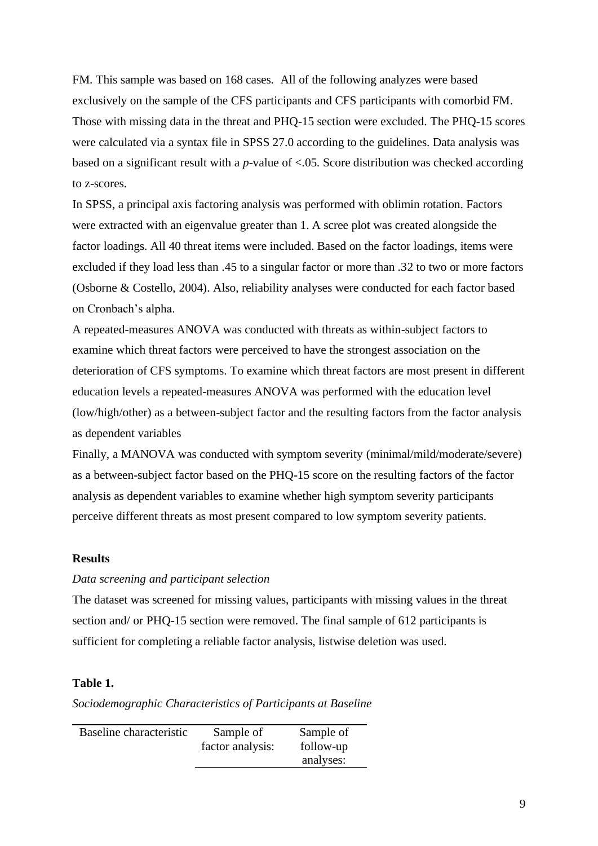FM. This sample was based on 168 cases. All of the following analyzes were based exclusively on the sample of the CFS participants and CFS participants with comorbid FM. Those with missing data in the threat and PHQ-15 section were excluded. The PHQ-15 scores were calculated via a syntax file in SPSS 27.0 according to the guidelines. Data analysis was based on a significant result with a *p*-value of <.05. Score distribution was checked according to z-scores.

In SPSS, a principal axis factoring analysis was performed with oblimin rotation. Factors were extracted with an eigenvalue greater than 1. A scree plot was created alongside the factor loadings. All 40 threat items were included. Based on the factor loadings, items were excluded if they load less than .45 to a singular factor or more than .32 to two or more factors (Osborne & Costello, 2004). Also, reliability analyses were conducted for each factor based on Cronbach's alpha.

A repeated-measures ANOVA was conducted with threats as within-subject factors to examine which threat factors were perceived to have the strongest association on the deterioration of CFS symptoms. To examine which threat factors are most present in different education levels a repeated-measures ANOVA was performed with the education level (low/high/other) as a between-subject factor and the resulting factors from the factor analysis as dependent variables

Finally, a MANOVA was conducted with symptom severity (minimal/mild/moderate/severe) as a between-subject factor based on the PHQ-15 score on the resulting factors of the factor analysis as dependent variables to examine whether high symptom severity participants perceive different threats as most present compared to low symptom severity patients.

#### **Results**

## *Data screening and participant selection*

The dataset was screened for missing values, participants with missing values in the threat section and/ or PHQ-15 section were removed. The final sample of 612 participants is sufficient for completing a reliable factor analysis, listwise deletion was used.

## **Table 1.**

## *Sociodemographic Characteristics of Participants at Baseline*

| Baseline characteristic | Sample of        | Sample of |
|-------------------------|------------------|-----------|
|                         | factor analysis: | follow-up |
|                         |                  | analyses: |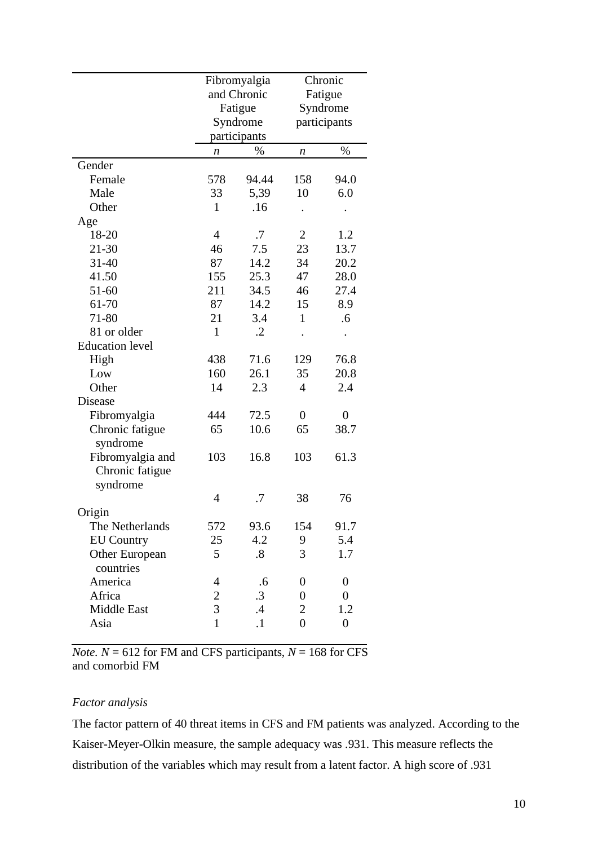|                        |                | Fibromyalgia      |                  | Chronic          |
|------------------------|----------------|-------------------|------------------|------------------|
|                        |                | and Chronic       |                  | Fatigue          |
|                        | Fatigue        |                   |                  | Syndrome         |
|                        |                | Syndrome          |                  | participants     |
|                        |                | participants      |                  |                  |
|                        | n              | $\%$              | n                | $\%$             |
| Gender                 |                |                   |                  |                  |
| Female                 | 578            | 94.44             | 158              | 94.0             |
| Male                   | 33             | 5,39              | 10               | 6.0              |
| Other                  | $\mathbf{1}$   | .16               |                  |                  |
| Age                    |                |                   |                  |                  |
| 18-20                  | 4              | .7                | $\overline{2}$   | 1.2              |
| 21-30                  | 46             | 7.5               | 23               | 13.7             |
| $31 - 40$              | 87             | 14.2              | 34               | 20.2             |
| 41.50                  | 155            | 25.3              | 47               | 28.0             |
| 51-60                  | 211            | 34.5              | 46               | 27.4             |
| 61-70                  | 87             | 14.2              | 15               | 8.9              |
| 71-80                  | 21             | 3.4               | $\mathbf{1}$     | .6               |
| 81 or older            | $\mathbf{1}$   | $\cdot$ .2        |                  |                  |
| <b>Education</b> level |                |                   |                  |                  |
| High                   | 438            | 71.6              | 129              | 76.8             |
| Low                    | 160            | 26.1              | 35               | 20.8             |
| Other                  | 14             | 2.3               | 4                | 2.4              |
| Disease                |                |                   |                  |                  |
| Fibromyalgia           | 444            | 72.5              | $\overline{0}$   | 0                |
| Chronic fatigue        | 65             | 10.6              | 65               | 38.7             |
| syndrome               |                |                   |                  |                  |
| Fibromyalgia and       | 103            | 16.8              | 103              | 61.3             |
| Chronic fatigue        |                |                   |                  |                  |
| syndrome               |                |                   |                  |                  |
|                        | 4              | .7                | 38               | 76               |
| Origin                 |                |                   |                  |                  |
| The Netherlands        | 572            | 93.6              | 154              | 91.7             |
| <b>EU</b> Country      | 25             | 4.2               | 9                | 5.4              |
| Other European         | 5              | $\boldsymbol{.8}$ | 3                | 1.7              |
| countries              |                |                   |                  |                  |
| America                | 4              | .6                | 0                | $\boldsymbol{0}$ |
| Africa                 | $\overline{c}$ | $\cdot$ 3         | $\boldsymbol{0}$ | $\overline{0}$   |
| <b>Middle East</b>     | $\overline{3}$ | $\mathcal{A}$     | $\overline{2}$   | 1.2              |
| Asia                   | $\overline{1}$ | $\cdot$           | $\overline{0}$   | $\boldsymbol{0}$ |

*Note.*  $N = 612$  for FM and CFS participants,  $N = 168$  for CFS and comorbid FM

## *Factor analysis*

The factor pattern of 40 threat items in CFS and FM patients was analyzed. According to the Kaiser-Meyer-Olkin measure, the sample adequacy was .931. This measure reflects the distribution of the variables which may result from a latent factor. A high score of .931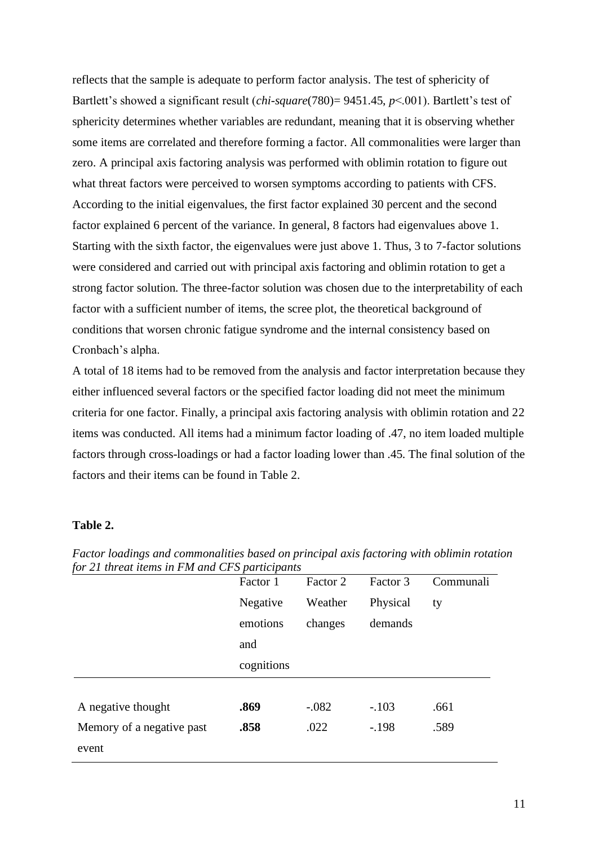reflects that the sample is adequate to perform factor analysis. The test of sphericity of Bartlett's showed a significant result (*chi-square*(780)= 9451.45, *p*<.001). Bartlett's test of sphericity determines whether variables are redundant, meaning that it is observing whether some items are correlated and therefore forming a factor. All commonalities were larger than zero. A principal axis factoring analysis was performed with oblimin rotation to figure out what threat factors were perceived to worsen symptoms according to patients with CFS. According to the initial eigenvalues, the first factor explained 30 percent and the second factor explained 6 percent of the variance. In general, 8 factors had eigenvalues above 1. Starting with the sixth factor, the eigenvalues were just above 1. Thus, 3 to 7-factor solutions were considered and carried out with principal axis factoring and oblimin rotation to get a strong factor solution. The three-factor solution was chosen due to the interpretability of each factor with a sufficient number of items, the scree plot, the theoretical background of conditions that worsen chronic fatigue syndrome and the internal consistency based on Cronbach's alpha.

A total of 18 items had to be removed from the analysis and factor interpretation because they either influenced several factors or the specified factor loading did not meet the minimum criteria for one factor. Finally, a principal axis factoring analysis with oblimin rotation and 22 items was conducted. All items had a minimum factor loading of .47, no item loaded multiple factors through cross-loadings or had a factor loading lower than .45. The final solution of the factors and their items can be found in Table 2.

## **Table 2.**

|                           | Factor 1   | Factor 2 | Factor 3 | Communali |
|---------------------------|------------|----------|----------|-----------|
|                           | Negative   | Weather  | Physical | ty        |
|                           | emotions   | changes  | demands  |           |
|                           | and        |          |          |           |
|                           | cognitions |          |          |           |
|                           |            |          |          |           |
| A negative thought        | .869       | $-.082$  | $-.103$  | .661      |
| Memory of a negative past | .858       | .022     | $-.198$  | .589      |
| event                     |            |          |          |           |

*Factor loadings and commonalities based on principal axis factoring with oblimin rotation for 21 threat items in FM and CFS participants*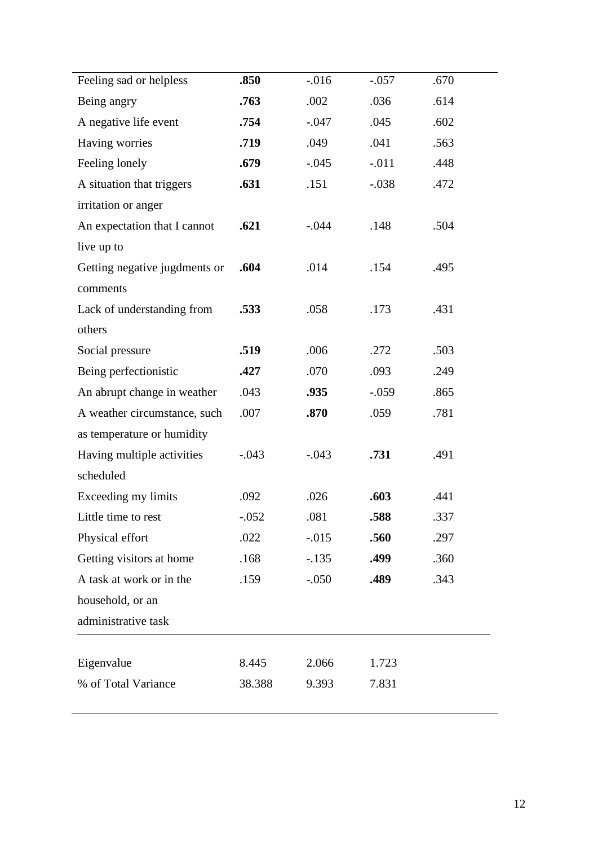| Feeling sad or helpless       | .850    | $-0.016$ | $-.057$ | .670 |
|-------------------------------|---------|----------|---------|------|
| Being angry                   | .763    | .002     | .036    | .614 |
| A negative life event         | .754    | $-.047$  | .045    | .602 |
| Having worries                | .719    | .049     | .041    | .563 |
| Feeling lonely                | .679    | $-.045$  | $-.011$ | .448 |
| A situation that triggers     | .631    | .151     | $-.038$ | .472 |
| irritation or anger           |         |          |         |      |
| An expectation that I cannot  | .621    | $-.044$  | .148    | .504 |
| live up to                    |         |          |         |      |
| Getting negative jugdments or | .604    | .014     | .154    | .495 |
| comments                      |         |          |         |      |
| Lack of understanding from    | .533    | .058     | .173    | .431 |
| others                        |         |          |         |      |
| Social pressure               | .519    | .006     | .272    | .503 |
| Being perfectionistic         | .427    | .070     | .093    | .249 |
| An abrupt change in weather   | .043    | .935     | $-.059$ | .865 |
| A weather circumstance, such  | .007    | .870     | .059    | .781 |
| as temperature or humidity    |         |          |         |      |
| Having multiple activities    | $-.043$ | $-.043$  | .731    | .491 |
| scheduled                     |         |          |         |      |
| Exceeding my limits           | .092    | .026     | .603    | .441 |
| Little time to rest           | $-.052$ | .081     | 588     | 337  |
| Physical effort               | .022    | $-.015$  | .560    | .297 |
| Getting visitors at home      | .168    | $-.135$  | .499    | .360 |
| A task at work or in the      | .159    | $-.050$  | .489    | .343 |
| household, or an              |         |          |         |      |
| administrative task           |         |          |         |      |
| Eigenvalue                    | 8.445   | 2.066    | 1.723   |      |
| % of Total Variance           | 38.388  | 9.393    | 7.831   |      |
|                               |         |          |         |      |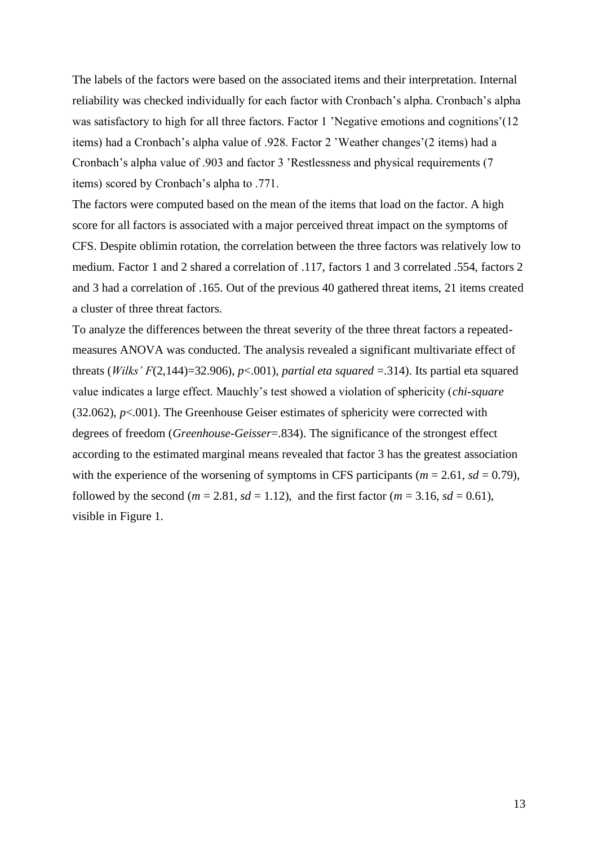The labels of the factors were based on the associated items and their interpretation. Internal reliability was checked individually for each factor with Cronbach's alpha. Cronbach's alpha was satisfactory to high for all three factors. Factor 1 'Negative emotions and cognitions'(12 items) had a Cronbach's alpha value of .928. Factor 2 'Weather changes'(2 items) had a Cronbach's alpha value of .903 and factor 3 'Restlessness and physical requirements (7 items) scored by Cronbach's alpha to .771.

The factors were computed based on the mean of the items that load on the factor. A high score for all factors is associated with a major perceived threat impact on the symptoms of CFS. Despite oblimin rotation, the correlation between the three factors was relatively low to medium. Factor 1 and 2 shared a correlation of .117, factors 1 and 3 correlated .554, factors 2 and 3 had a correlation of .165. Out of the previous 40 gathered threat items, 21 items created a cluster of three threat factors.

To analyze the differences between the threat severity of the three threat factors a repeatedmeasures ANOVA was conducted. The analysis revealed a significant multivariate effect of threats (*Wilks' F*(2,144)=32.906), *p*<.001), *partial eta squared* =.314). Its partial eta squared value indicates a large effect. Mauchly's test showed a violation of sphericity (*chi-square* (32.062), *p*<.001). The Greenhouse Geiser estimates of sphericity were corrected with degrees of freedom (*Greenhouse-Geisser*=.834). The significance of the strongest effect according to the estimated marginal means revealed that factor 3 has the greatest association with the experience of the worsening of symptoms in CFS participants ( $m = 2.61$ ,  $sd = 0.79$ ), followed by the second ( $m = 2.81$ ,  $sd = 1.12$ ), and the first factor ( $m = 3.16$ ,  $sd = 0.61$ ), visible in Figure 1.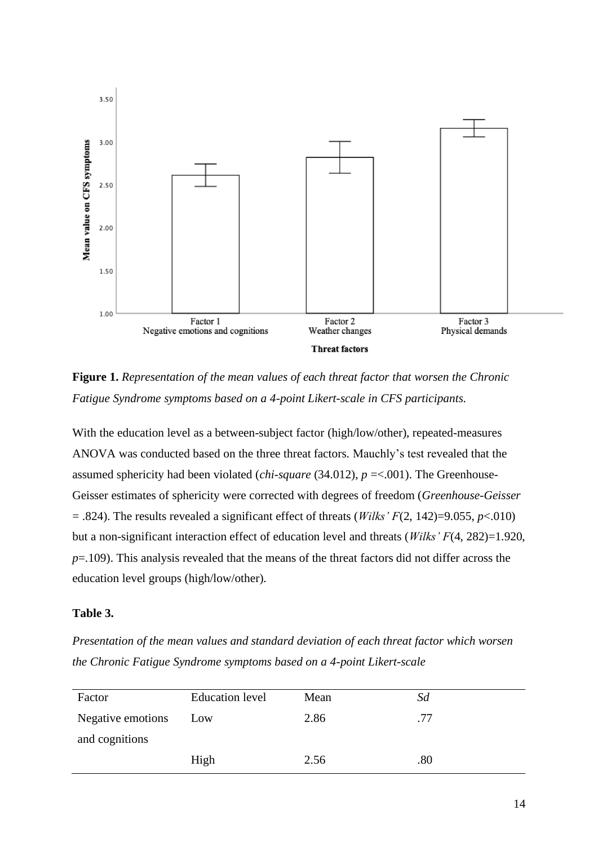

**Figure 1.** *Representation of the mean values of each threat factor that worsen the Chronic Fatigue Syndrome symptoms based on a 4-point Likert-scale in CFS participants.*

With the education level as a between-subject factor (high/low/other), repeated-measures ANOVA was conducted based on the three threat factors. Mauchly's test revealed that the assumed sphericity had been violated (*chi-square* (34.012), *p* =<.001). The Greenhouse-Geisser estimates of sphericity were corrected with degrees of freedom (*Greenhouse-Geisser*  $=$  .824). The results revealed a significant effect of threats (*Wilks' F*(2, 142)=9.055, *p*<.010) but a non-significant interaction effect of education level and threats (*Wilks' F*(4, 282)=1.920, *p*=.109). This analysis revealed that the means of the threat factors did not differ across the education level groups (high/low/other).

## **Table 3.**

*Presentation of the mean values and standard deviation of each threat factor which worsen the Chronic Fatigue Syndrome symptoms based on a 4-point Likert-scale* 

| Factor            | <b>Education</b> level | Mean | Sd  |
|-------------------|------------------------|------|-----|
| Negative emotions | Low                    | 2.86 | .77 |
| and cognitions    |                        |      |     |
|                   | High                   | 2.56 | .80 |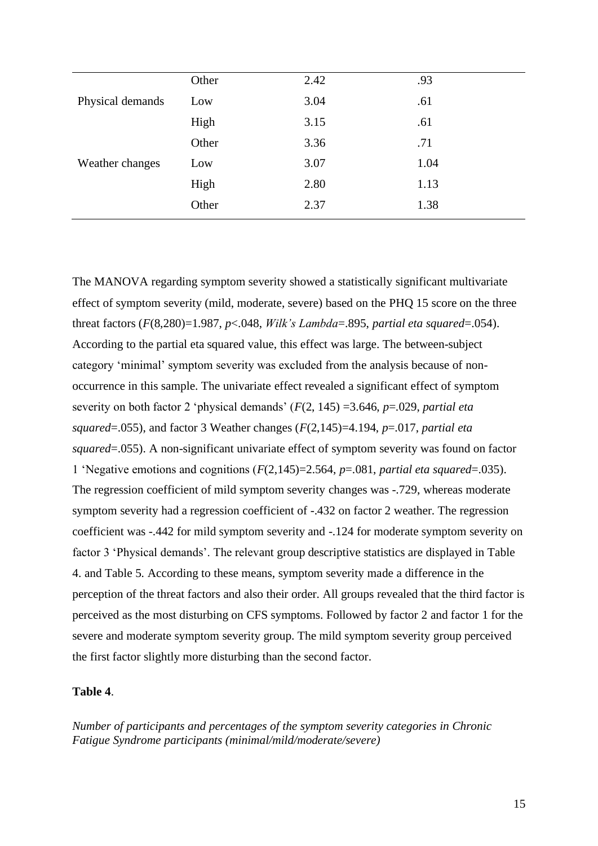|                  | Other | 2.42 | .93  |
|------------------|-------|------|------|
| Physical demands | Low   | 3.04 | .61  |
|                  | High  | 3.15 | .61  |
|                  | Other | 3.36 | .71  |
| Weather changes  | Low   | 3.07 | 1.04 |
|                  | High  | 2.80 | 1.13 |
|                  | Other | 2.37 | 1.38 |

The MANOVA regarding symptom severity showed a statistically significant multivariate effect of symptom severity (mild, moderate, severe) based on the PHQ 15 score on the three threat factors (*F*(8,280)=1.987, *p*<.048, *Wilk's Lambda*=.895, *partial eta squared*=.054). According to the partial eta squared value, this effect was large. The between-subject category 'minimal' symptom severity was excluded from the analysis because of nonoccurrence in this sample. The univariate effect revealed a significant effect of symptom severity on both factor 2 'physical demands' (*F*(2, 145) =3.646, *p*=.029, *partial eta squared*=.055), and factor 3 Weather changes (*F*(2,145)=4.194, *p*=.017, *partial eta squared*=.055). A non-significant univariate effect of symptom severity was found on factor 1 'Negative emotions and cognitions (*F*(2,145)=2.564, *p*=.081, *partial eta squared*=.035). The regression coefficient of mild symptom severity changes was -.729, whereas moderate symptom severity had a regression coefficient of -.432 on factor 2 weather. The regression coefficient was -.442 for mild symptom severity and -.124 for moderate symptom severity on factor 3 'Physical demands'. The relevant group descriptive statistics are displayed in Table 4. and Table 5. According to these means, symptom severity made a difference in the perception of the threat factors and also their order. All groups revealed that the third factor is perceived as the most disturbing on CFS symptoms. Followed by factor 2 and factor 1 for the severe and moderate symptom severity group. The mild symptom severity group perceived the first factor slightly more disturbing than the second factor.

## **Table 4**.

*Number of participants and percentages of the symptom severity categories in Chronic Fatigue Syndrome participants (minimal/mild/moderate/severe)*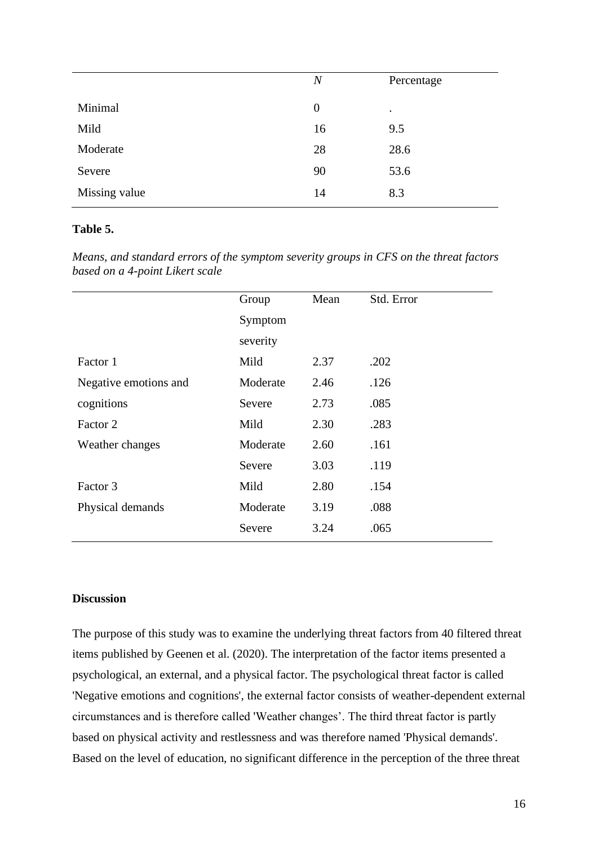|               | $\boldsymbol{N}$ | Percentage |
|---------------|------------------|------------|
| Minimal       | $\theta$         | $\bullet$  |
| Mild          | 16               | 9.5        |
| Moderate      | 28               | 28.6       |
| Severe        | 90               | 53.6       |
| Missing value | 14               | 8.3        |
|               |                  |            |

## **Table 5.**

*Means, and standard errors of the symptom severity groups in CFS on the threat factors based on a 4-point Likert scale*

|                       | Group    | Mean | Std. Error |
|-----------------------|----------|------|------------|
|                       | Symptom  |      |            |
|                       | severity |      |            |
| Factor 1              | Mild     | 2.37 | .202       |
| Negative emotions and | Moderate | 2.46 | .126       |
| cognitions            | Severe   | 2.73 | .085       |
| Factor 2              | Mild     | 2.30 | .283       |
| Weather changes       | Moderate | 2.60 | .161       |
|                       | Severe   | 3.03 | .119       |
| Factor 3              | Mild     | 2.80 | .154       |
| Physical demands      | Moderate | 3.19 | .088       |
|                       | Severe   | 3.24 | .065       |

## **Discussion**

The purpose of this study was to examine the underlying threat factors from 40 filtered threat items published by Geenen et al. (2020). The interpretation of the factor items presented a psychological, an external, and a physical factor. The psychological threat factor is called 'Negative emotions and cognitions', the external factor consists of weather-dependent external circumstances and is therefore called 'Weather changes'. The third threat factor is partly based on physical activity and restlessness and was therefore named 'Physical demands'. Based on the level of education, no significant difference in the perception of the three threat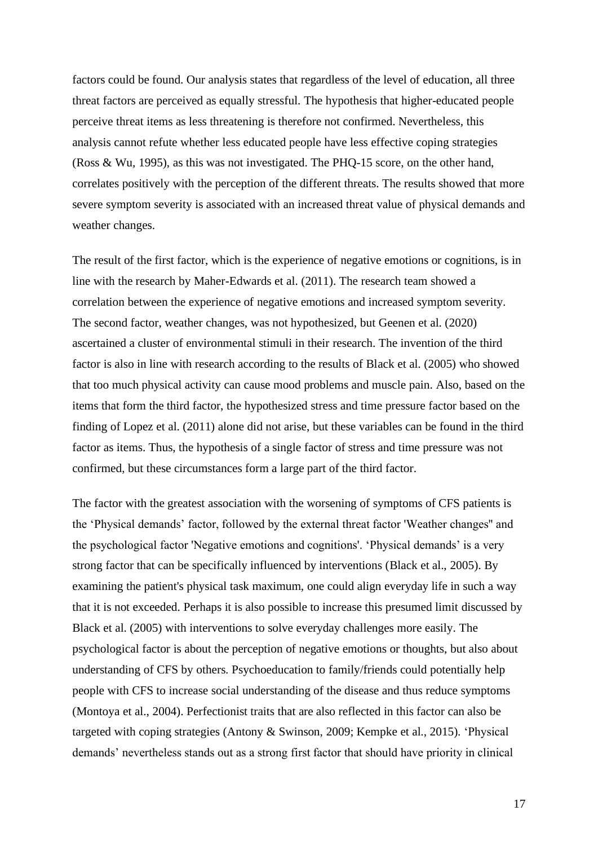factors could be found. Our analysis states that regardless of the level of education, all three threat factors are perceived as equally stressful. The hypothesis that higher-educated people perceive threat items as less threatening is therefore not confirmed. Nevertheless, this analysis cannot refute whether less educated people have less effective coping strategies (Ross & Wu, 1995), as this was not investigated. The PHQ-15 score, on the other hand, correlates positively with the perception of the different threats. The results showed that more severe symptom severity is associated with an increased threat value of physical demands and weather changes.

The result of the first factor, which is the experience of negative emotions or cognitions, is in line with the research by Maher-Edwards et al. (2011). The research team showed a correlation between the experience of negative emotions and increased symptom severity. The second factor, weather changes, was not hypothesized, but Geenen et al. (2020) ascertained a cluster of environmental stimuli in their research. The invention of the third factor is also in line with research according to the results of Black et al. (2005) who showed that too much physical activity can cause mood problems and muscle pain. Also, based on the items that form the third factor, the hypothesized stress and time pressure factor based on the finding of Lopez et al. (2011) alone did not arise, but these variables can be found in the third factor as items. Thus, the hypothesis of a single factor of stress and time pressure was not confirmed, but these circumstances form a large part of the third factor.

The factor with the greatest association with the worsening of symptoms of CFS patients is the 'Physical demands' factor, followed by the external threat factor 'Weather changes'' and the psychological factor 'Negative emotions and cognitions'. 'Physical demands' is a very strong factor that can be specifically influenced by interventions (Black et al., 2005). By examining the patient's physical task maximum, one could align everyday life in such a way that it is not exceeded. Perhaps it is also possible to increase this presumed limit discussed by Black et al. (2005) with interventions to solve everyday challenges more easily. The psychological factor is about the perception of negative emotions or thoughts, but also about understanding of CFS by others. Psychoeducation to family/friends could potentially help people with CFS to increase social understanding of the disease and thus reduce symptoms (Montoya et al., 2004). Perfectionist traits that are also reflected in this factor can also be targeted with coping strategies (Antony & Swinson, 2009; Kempke et al., 2015). 'Physical demands' nevertheless stands out as a strong first factor that should have priority in clinical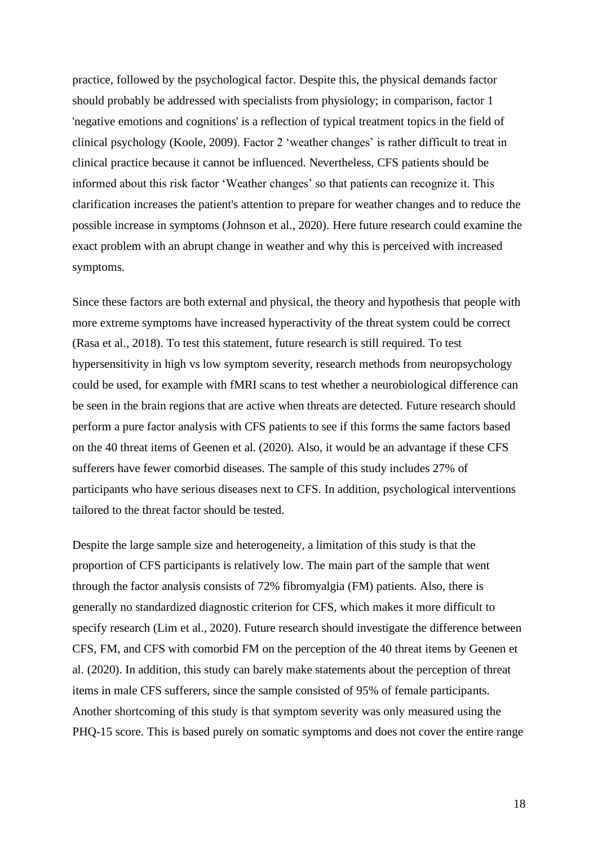practice, followed by the psychological factor. Despite this, the physical demands factor should probably be addressed with specialists from physiology; in comparison, factor 1 'negative emotions and cognitions' is a reflection of typical treatment topics in the field of clinical psychology (Koole, 2009). Factor 2 'weather changes' is rather difficult to treat in clinical practice because it cannot be influenced. Nevertheless, CFS patients should be informed about this risk factor 'Weather changes' so that patients can recognize it. This clarification increases the patient's attention to prepare for weather changes and to reduce the possible increase in symptoms (Johnson et al., 2020). Here future research could examine the exact problem with an abrupt change in weather and why this is perceived with increased symptoms.

Since these factors are both external and physical, the theory and hypothesis that people with more extreme symptoms have increased hyperactivity of the threat system could be correct (Rasa et al., 2018). To test this statement, future research is still required. To test hypersensitivity in high vs low symptom severity, research methods from neuropsychology could be used, for example with fMRI scans to test whether a neurobiological difference can be seen in the brain regions that are active when threats are detected. Future research should perform a pure factor analysis with CFS patients to see if this forms the same factors based on the 40 threat items of Geenen et al. (2020). Also, it would be an advantage if these CFS sufferers have fewer comorbid diseases. The sample of this study includes 27% of participants who have serious diseases next to CFS. In addition, psychological interventions tailored to the threat factor should be tested.

Despite the large sample size and heterogeneity, a limitation of this study is that the proportion of CFS participants is relatively low. The main part of the sample that went through the factor analysis consists of 72% fibromyalgia (FM) patients. Also, there is generally no standardized diagnostic criterion for CFS, which makes it more difficult to specify research (Lim et al., 2020). Future research should investigate the difference between CFS, FM, and CFS with comorbid FM on the perception of the 40 threat items by Geenen et al. (2020). In addition, this study can barely make statements about the perception of threat items in male CFS sufferers, since the sample consisted of 95% of female participants. Another shortcoming of this study is that symptom severity was only measured using the PHQ-15 score. This is based purely on somatic symptoms and does not cover the entire range

18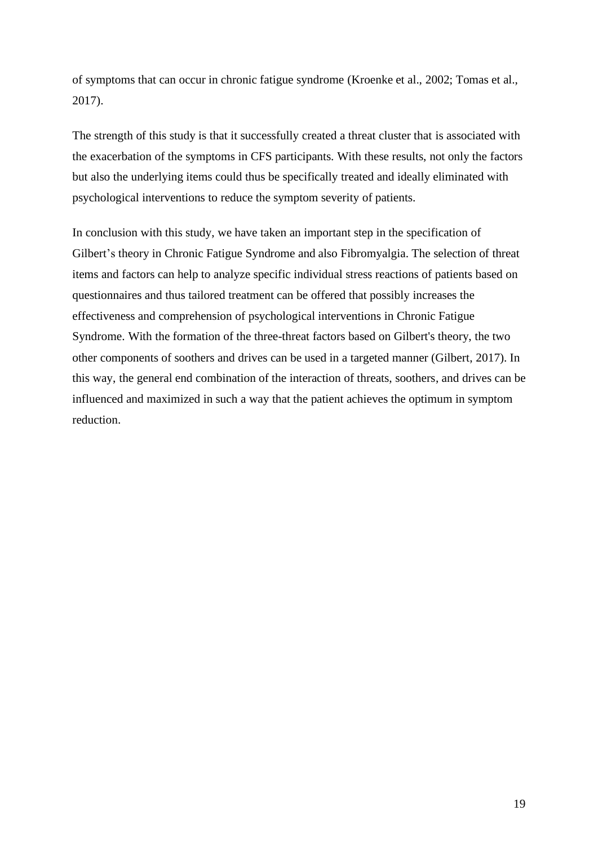of symptoms that can occur in chronic fatigue syndrome (Kroenke et al., 2002; Tomas et al., 2017).

The strength of this study is that it successfully created a threat cluster that is associated with the exacerbation of the symptoms in CFS participants. With these results, not only the factors but also the underlying items could thus be specifically treated and ideally eliminated with psychological interventions to reduce the symptom severity of patients.

In conclusion with this study, we have taken an important step in the specification of Gilbert's theory in Chronic Fatigue Syndrome and also Fibromyalgia. The selection of threat items and factors can help to analyze specific individual stress reactions of patients based on questionnaires and thus tailored treatment can be offered that possibly increases the effectiveness and comprehension of psychological interventions in Chronic Fatigue Syndrome. With the formation of the three-threat factors based on Gilbert's theory, the two other components of soothers and drives can be used in a targeted manner (Gilbert, 2017). In this way, the general end combination of the interaction of threats, soothers, and drives can be influenced and maximized in such a way that the patient achieves the optimum in symptom reduction.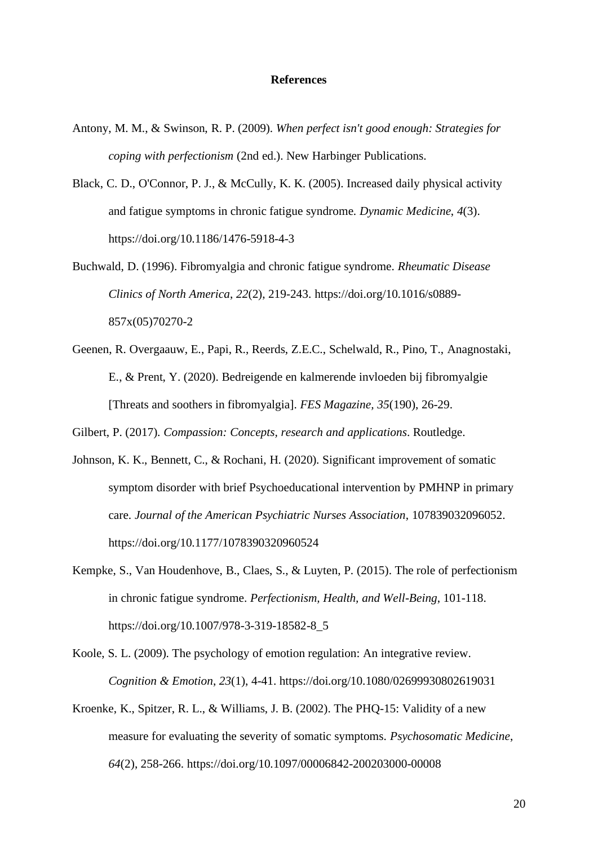#### **References**

- Antony, M. M., & Swinson, R. P. (2009). *When perfect isn't good enough: Strategies for coping with perfectionism* (2nd ed.). New Harbinger Publications.
- Black, C. D., O'Connor, P. J., & McCully, K. K. (2005). Increased daily physical activity and fatigue symptoms in chronic fatigue syndrome. *Dynamic Medicine*, *4*(3). <https://doi.org/10.1186/1476-5918-4-3>
- Buchwald, D. (1996). Fibromyalgia and chronic fatigue syndrome. *Rheumatic Disease Clinics of North America*, *22*(2), 219-243. [https://doi.org/10.1016/s0889-](https://doi.org/10.1016/s0889-857x(05)70270-2) [857x\(05\)70270-2](https://doi.org/10.1016/s0889-857x(05)70270-2)
- Geenen, R. Overgaauw, E., Papi, R., Reerds, Z.E.C., Schelwald, R., Pino, T., Anagnostaki, E., & Prent, Y. (2020). Bedreigende en kalmerende invloeden bij fibromyalgie [Threats and soothers in fibromyalgia]. *FES Magazine, 35*(190), 26-29.

Gilbert, P. (2017). *Compassion: Concepts, research and applications*. Routledge.

- Johnson, K. K., Bennett, C., & Rochani, H. (2020). Significant improvement of somatic symptom disorder with brief Psychoeducational intervention by PMHNP in primary care. *Journal of the American Psychiatric Nurses Association*, 107839032096052. <https://doi.org/10.1177/1078390320960524>
- Kempke, S., Van Houdenhove, B., Claes, S., & Luyten, P. (2015). The role of perfectionism in chronic fatigue syndrome. *Perfectionism, Health, and Well-Being*, 101-118. [https://doi.org/10.1007/978-3-319-18582-8\\_5](https://doi.org/10.1007/978-3-319-18582-8_5)
- Koole, S. L. (2009). The psychology of emotion regulation: An integrative review. *Cognition & Emotion*, *23*(1), 4-41.<https://doi.org/10.1080/02699930802619031>
- Kroenke, K., Spitzer, R. L., & Williams, J. B. (2002). The PHQ-15: Validity of a new measure for evaluating the severity of somatic symptoms. *Psychosomatic Medicine*, *64*(2), 258-266.<https://doi.org/10.1097/00006842-200203000-00008>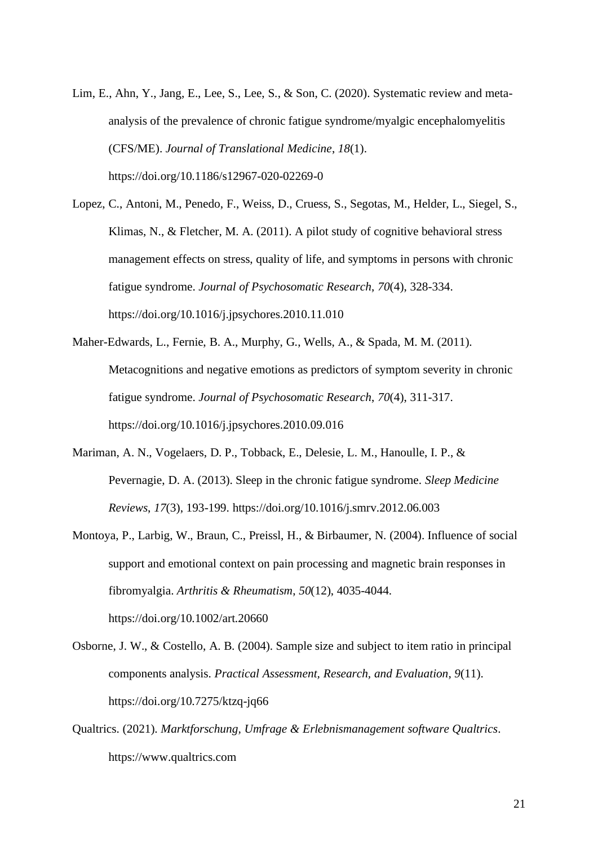- Lim, E., Ahn, Y., Jang, E., Lee, S., Lee, S., & Son, C. (2020). Systematic review and metaanalysis of the prevalence of chronic fatigue syndrome/myalgic encephalomyelitis (CFS/ME). *Journal of Translational Medicine*, *18*(1). <https://doi.org/10.1186/s12967-020-02269-0>
- Lopez, C., Antoni, M., Penedo, F., Weiss, D., Cruess, S., Segotas, M., Helder, L., Siegel, S., Klimas, N., & Fletcher, M. A. (2011). A pilot study of cognitive behavioral stress management effects on stress, quality of life, and symptoms in persons with chronic fatigue syndrome. *Journal of Psychosomatic Research*, *70*(4), 328-334. <https://doi.org/10.1016/j.jpsychores.2010.11.010>
- Maher-Edwards, L., Fernie, B. A., Murphy, G., Wells, A., & Spada, M. M. (2011). Metacognitions and negative emotions as predictors of symptom severity in chronic fatigue syndrome. *Journal of Psychosomatic Research*, *70*(4), 311-317. <https://doi.org/10.1016/j.jpsychores.2010.09.016>
- Mariman, A. N., Vogelaers, D. P., Tobback, E., Delesie, L. M., Hanoulle, I. P., & Pevernagie, D. A. (2013). Sleep in the chronic fatigue syndrome. *Sleep Medicine Reviews*, *17*(3), 193-199.<https://doi.org/10.1016/j.smrv.2012.06.003>
- Montoya, P., Larbig, W., Braun, C., Preissl, H., & Birbaumer, N. (2004). Influence of social support and emotional context on pain processing and magnetic brain responses in fibromyalgia. *Arthritis & Rheumatism*, *50*(12), 4035-4044. <https://doi.org/10.1002/art.20660>
- Osborne, J. W., & Costello, A. B. (2004). Sample size and subject to item ratio in principal components analysis. *Practical Assessment, Research, and Evaluation*, *9*(11). <https://doi.org/10.7275/ktzq-jq66>
- Qualtrics. (2021). *Marktforschung, Umfrage & Erlebnismanagement software Qualtrics*. [https://www.qualtrics.com](https://www.qualtrics.com/)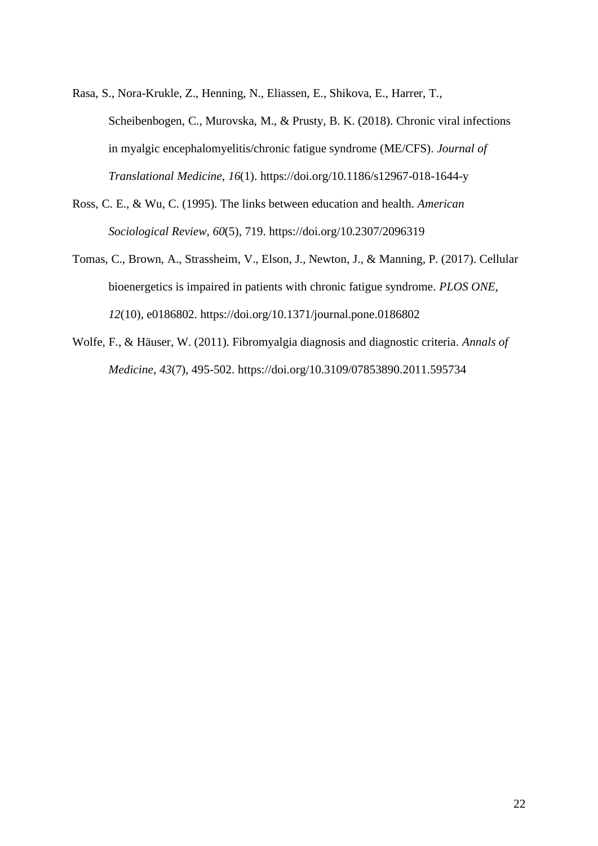- Rasa, S., Nora-Krukle, Z., Henning, N., Eliassen, E., Shikova, E., Harrer, T., Scheibenbogen, C., Murovska, M., & Prusty, B. K. (2018). Chronic viral infections in myalgic encephalomyelitis/chronic fatigue syndrome (ME/CFS). *Journal of Translational Medicine*, *16*(1).<https://doi.org/10.1186/s12967-018-1644-y>
- Ross, C. E., & Wu, C. (1995). The links between education and health. *American Sociological Review*, *60*(5), 719.<https://doi.org/10.2307/2096319>
- Tomas, C., Brown, A., Strassheim, V., Elson, J., Newton, J., & Manning, P. (2017). Cellular bioenergetics is impaired in patients with chronic fatigue syndrome. *PLOS ONE*, *12*(10), e0186802.<https://doi.org/10.1371/journal.pone.0186802>
- Wolfe, F., & Häuser, W. (2011). Fibromyalgia diagnosis and diagnostic criteria. *Annals of Medicine*, *43*(7), 495-502. <https://doi.org/10.3109/07853890.2011.595734>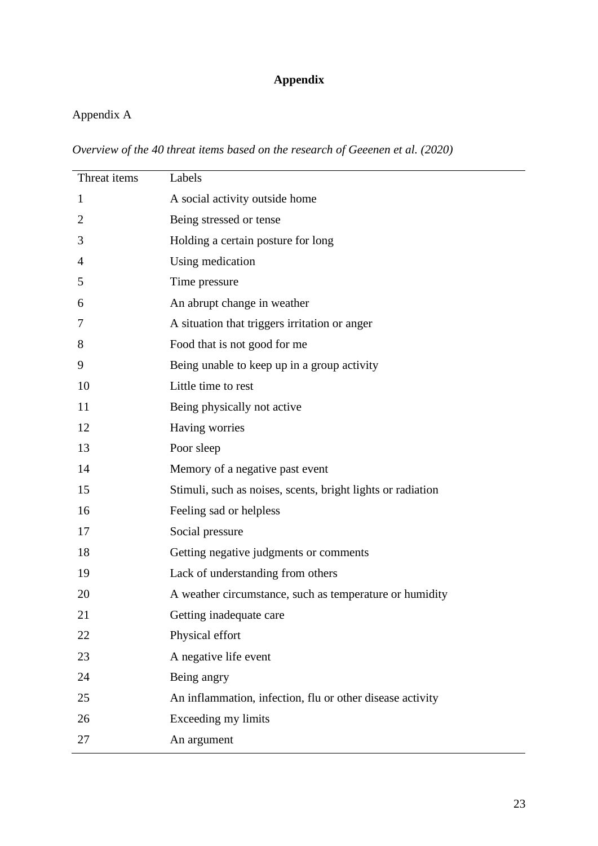# **Appendix**

## Appendix A

*Overview of the 40 threat items based on the research of Geeenen et al. (2020)*

| Threat items   | Labels                                                      |
|----------------|-------------------------------------------------------------|
| $\mathbf{1}$   | A social activity outside home                              |
| $\overline{2}$ | Being stressed or tense                                     |
| 3              | Holding a certain posture for long                          |
| 4              | Using medication                                            |
| 5              | Time pressure                                               |
| 6              | An abrupt change in weather                                 |
| 7              | A situation that triggers irritation or anger               |
| 8              | Food that is not good for me                                |
| 9              | Being unable to keep up in a group activity                 |
| 10             | Little time to rest                                         |
| 11             | Being physically not active                                 |
| 12             | Having worries                                              |
| 13             | Poor sleep                                                  |
| 14             | Memory of a negative past event                             |
| 15             | Stimuli, such as noises, scents, bright lights or radiation |
| 16             | Feeling sad or helpless                                     |
| 17             | Social pressure                                             |
| 18             | Getting negative judgments or comments                      |
| 19             | Lack of understanding from others                           |
| 20             | A weather circumstance, such as temperature or humidity     |
| 21             | Getting inadequate care                                     |
| 22             | Physical effort                                             |
| 23             | A negative life event                                       |
| 24             | Being angry                                                 |
| 25             | An inflammation, infection, flu or other disease activity   |
| 26             | Exceeding my limits                                         |
| 27             | An argument                                                 |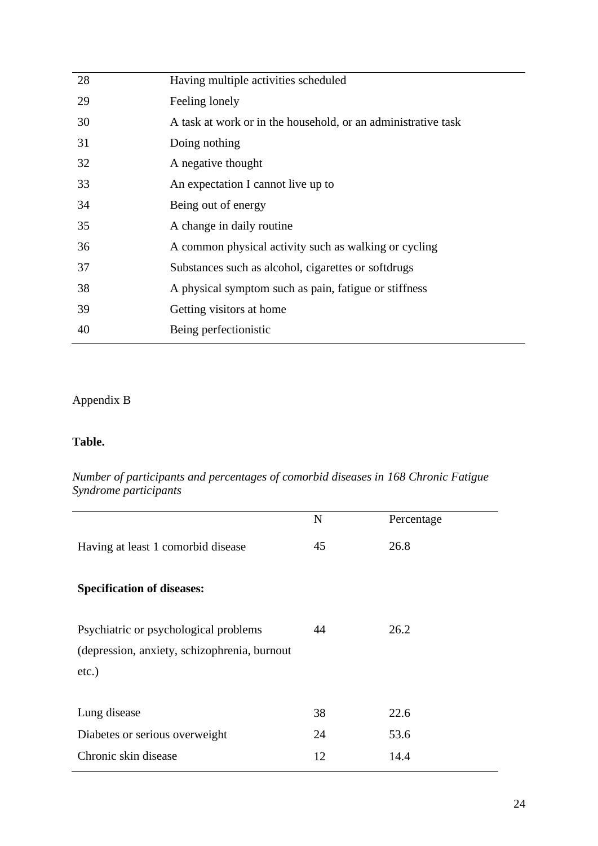| 28 | Having multiple activities scheduled                          |
|----|---------------------------------------------------------------|
| 29 | Feeling lonely                                                |
| 30 | A task at work or in the household, or an administrative task |
| 31 | Doing nothing                                                 |
| 32 | A negative thought                                            |
| 33 | An expectation I cannot live up to                            |
| 34 | Being out of energy                                           |
| 35 | A change in daily routine                                     |
| 36 | A common physical activity such as walking or cycling         |
| 37 | Substances such as alcohol, cigarettes or softdrugs           |
| 38 | A physical symptom such as pain, fatigue or stiffness         |
| 39 | Getting visitors at home                                      |
| 40 | Being perfectionistic                                         |
|    |                                                               |

## Appendix B

## **Table.**

## *Number of participants and percentages of comorbid diseases in 168 Chronic Fatigue Syndrome participants*

|                                                                                                   | N  | Percentage |
|---------------------------------------------------------------------------------------------------|----|------------|
| Having at least 1 comorbid disease                                                                | 45 | 26.8       |
| <b>Specification of diseases:</b>                                                                 |    |            |
| Psychiatric or psychological problems<br>(depression, anxiety, schizophrenia, burnout<br>$etc.$ ) | 44 | 26.2       |
| Lung disease                                                                                      | 38 | 22.6       |
| Diabetes or serious overweight                                                                    | 24 | 53.6       |
| Chronic skin disease                                                                              | 12 | 14.4       |